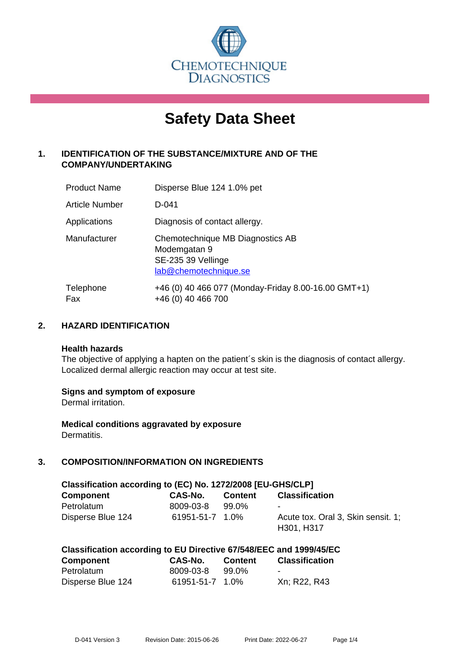

# **Safety Data Sheet**

# **1. IDENTIFICATION OF THE SUBSTANCE/MIXTURE AND OF THE COMPANY/UNDERTAKING**

| <b>Product Name</b> | Disperse Blue 124 1.0% pet                                                                      |
|---------------------|-------------------------------------------------------------------------------------------------|
| Article Number      | D-041                                                                                           |
| Applications        | Diagnosis of contact allergy.                                                                   |
| Manufacturer        | Chemotechnique MB Diagnostics AB<br>Modemgatan 9<br>SE-235 39 Vellinge<br>lab@chemotechnique.se |
| Telephone<br>Fax    | +46 (0) 40 466 077 (Monday-Friday 8.00-16.00 GMT+1)<br>+46 (0) 40 466 700                       |

## **2. HAZARD IDENTIFICATION**

#### **Health hazards**

The objective of applying a hapten on the patient's skin is the diagnosis of contact allergy. Localized dermal allergic reaction may occur at test site.

## **Signs and symptom of exposure**

Dermal irritation.

**Medical conditions aggravated by exposure** Dermatitis.

# **3. COMPOSITION/INFORMATION ON INGREDIENTS**

| Classification according to (EC) No. 1272/2008 [EU-GHS/CLP] |                 |                |                                    |  |
|-------------------------------------------------------------|-----------------|----------------|------------------------------------|--|
| <b>Component</b>                                            | CAS-No.         | <b>Content</b> | <b>Classification</b>              |  |
| Petrolatum                                                  | 8009-03-8       | 99.0%          | $\sim$                             |  |
| Disperse Blue 124                                           | 61951-51-7 1.0% |                | Acute tox. Oral 3, Skin sensit. 1; |  |
|                                                             |                 |                | H301, H317                         |  |

| Classification according to EU Directive 67/548/EEC and 1999/45/EC |                 |         |                       |  |
|--------------------------------------------------------------------|-----------------|---------|-----------------------|--|
| Component                                                          | CAS-No.         | Content | <b>Classification</b> |  |
| Petrolatum                                                         | 8009-03-8       | 99.0%   | -                     |  |
| Disperse Blue 124                                                  | 61951-51-7 1.0% |         | Xn; R22, R43          |  |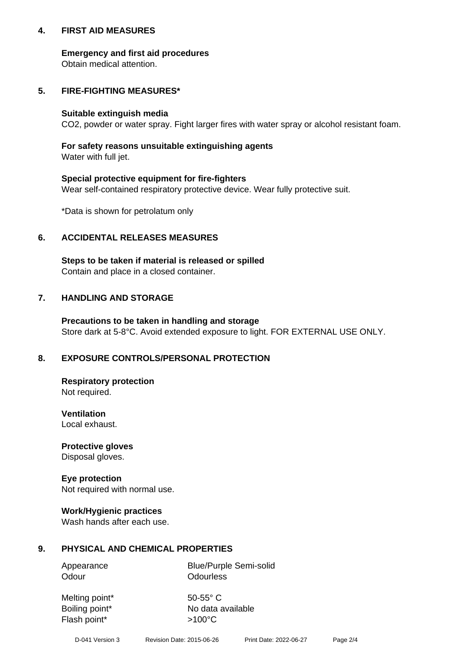## **4. FIRST AID MEASURES**

## **Emergency and first aid procedures**

Obtain medical attention.

# **5. FIRE-FIGHTING MEASURES\***

#### **Suitable extinguish media**

CO2, powder or water spray. Fight larger fires with water spray or alcohol resistant foam.

# **For safety reasons unsuitable extinguishing agents**

Water with full jet.

## **Special protective equipment for fire-fighters**

Wear self-contained respiratory protective device. Wear fully protective suit.

\*Data is shown for petrolatum only

## **6. ACCIDENTAL RELEASES MEASURES**

**Steps to be taken if material is released or spilled** Contain and place in a closed container.

# **7. HANDLING AND STORAGE**

**Precautions to be taken in handling and storage** Store dark at 5-8°C. Avoid extended exposure to light. FOR EXTERNAL USE ONLY.

# **8. EXPOSURE CONTROLS/PERSONAL PROTECTION**

**Respiratory protection** Not required.

**Ventilation** Local exhaust.

**Protective gloves** Disposal gloves.

#### **Eye protection** Not required with normal use.

## **Work/Hygienic practices**

Wash hands after each use.

## **9. PHYSICAL AND CHEMICAL PROPERTIES**

Odour **Odourless** 

Appearance Blue/Purple Semi-solid

Melting point\* 50-55° C Flash point\*  $>100^{\circ}$ C

Boiling point\* No data available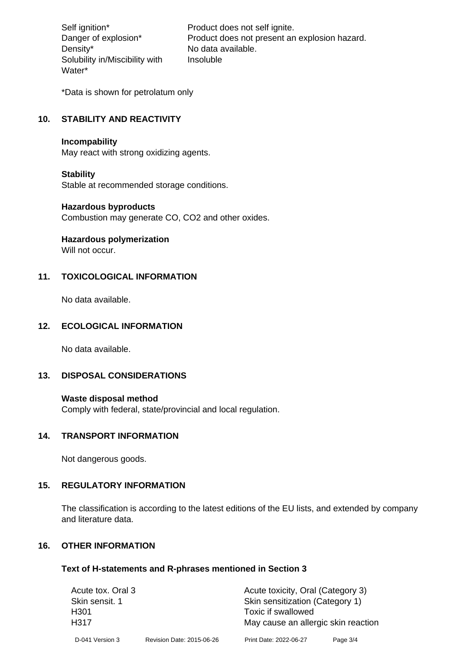Density\* No data available. Solubility in/Miscibility with Water\*

Self ignition\* Product does not self ignite. Danger of explosion\* Product does not present an explosion hazard. Insoluble

\*Data is shown for petrolatum only

# **10. STABILITY AND REACTIVITY**

#### **Incompability**

May react with strong oxidizing agents.

#### **Stability**

Stable at recommended storage conditions.

#### **Hazardous byproducts**

Combustion may generate CO, CO2 and other oxides.

**Hazardous polymerization**

Will not occur.

## **11. TOXICOLOGICAL INFORMATION**

No data available.

#### **12. ECOLOGICAL INFORMATION**

No data available.

## **13. DISPOSAL CONSIDERATIONS**

#### **Waste disposal method**

Comply with federal, state/provincial and local regulation.

#### **14. TRANSPORT INFORMATION**

Not dangerous goods.

## **15. REGULATORY INFORMATION**

The classification is according to the latest editions of the EU lists, and extended by company and literature data.

#### **16. OTHER INFORMATION**

#### **Text of H-statements and R-phrases mentioned in Section 3**

| Acute tox. Oral 3 |                           | Acute toxicity, Oral (Category 3)   |          |  |
|-------------------|---------------------------|-------------------------------------|----------|--|
| Skin sensit. 1    |                           | Skin sensitization (Category 1)     |          |  |
| H <sub>301</sub>  |                           | Toxic if swallowed                  |          |  |
| H317              |                           | May cause an allergic skin reaction |          |  |
| D-041 Version 3   | Revision Date: 2015-06-26 | Print Date: 2022-06-27              | Page 3/4 |  |